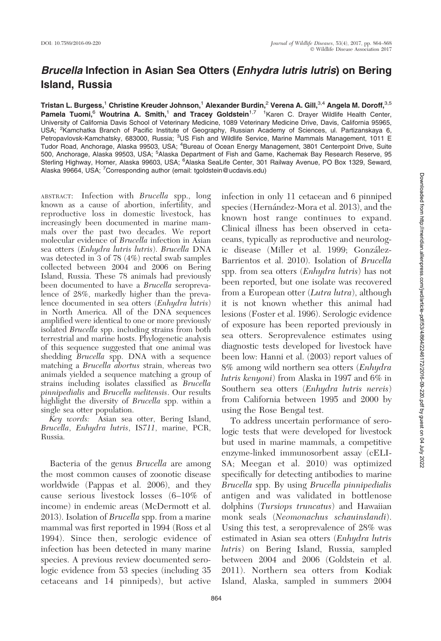## Brucella Infection in Asian Sea Otters (Enhydra lutris lutris) on Bering Island, Russia

Tristan L. Burgess,<sup>1</sup> Christine Kreuder Johnson,<sup>1</sup> Alexander Burdin,<sup>2</sup> Verena A. Gill,<sup>3,4</sup> Angela M. Doroff,<sup>3,5</sup> Pamela Tuomi,<sup>6</sup> Woutrina A. Smith,<sup>1</sup> and Tracey Goldstein<sup>1,7</sup> <sup>1</sup> Karen C. Drayer Wildlife Health Center, University of California Davis School of Veterinary Medicine, 1089 Veterinary Medicine Drive, Davis, California 95965, USA; <sup>2</sup> Kamchatka Branch of Pacific Institute of Geography, Russian Academy of Sciences, ul. Partizanskaya 6, Petropavlovsk-Kamchatsky, 683000, Russia; <sup>3</sup>US Fish and Wildlife Service, Marine Mammals Management, 1011 E Tudor Road, Anchorage, Alaska 99503, USA; <sup>4</sup>Bureau of Ocean Energy Management, 3801 Centerpoint Drive, Suite 500, Anchorage, Alaska 99503, USA; <sup>5</sup>Alaska Department of Fish and Game, Kachemak Bay Research Reserve, 95<br>Sterling Highway, Homer, Alaska 99603, USA; <sup>6</sup>Alaska SeaLife Center, 301 Railway Avenue, PO Box 1329, Seward, Alaska 99664, USA; <sup>7</sup>Corresponding author (email: tgoldstein@ucdavis.edu)

ABSTRACT: Infection with Brucella spp., long known as a cause of abortion, infertility, and reproductive loss in domestic livestock, has increasingly been documented in marine mammals over the past two decades. We report molecular evidence of Brucella infection in Asian sea otters (Enhydra lutris lutris). Brucella DNA was detected in 3 of 78 (4%) rectal swab samples collected between 2004 and 2006 on Bering Island, Russia. These 78 animals had previously been documented to have a *Brucella* seroprevalence of 28%, markedly higher than the prevalence documented in sea otters (Enhydra lutris) in North America. All of the DNA sequences amplified were identical to one or more previously isolated *Brucella* spp. including strains from both terrestrial and marine hosts. Phylogenetic analysis of this sequence suggested that one animal was shedding *Brucella* spp. DNA with a sequence matching a Brucella abortus strain, whereas two animals yielded a sequence matching a group of strains including isolates classified as Brucella pinnipedialis and Brucella melitensis. Our results highlight the diversity of *Brucella* spp. within a single sea otter population.

Key words: Asian sea otter, Bering Island, Brucella, Enhydra lutris, IS711, marine, PCR, Russia.

Bacteria of the genus Brucella are among the most common causes of zoonotic disease worldwide (Pappas et al. 2006), and they cause serious livestock losses (6–10% of income) in endemic areas (McDermott et al. 2013). Isolation of Brucella spp. from a marine mammal was first reported in 1994 (Ross et al 1994). Since then, serologic evidence of infection has been detected in many marine species. A previous review documented serologic evidence from 53 species (including 35 cetaceans and 14 pinnipeds), but active infection in only 11 cetacean and 6 pinniped species (Hernández-Mora et al. 2013), and the known host range continues to expand. Clinical illness has been observed in cetaceans, typically as reproductive and neurologic disease (Miller et al. 1999; González-Barrientos et al. 2010). Isolation of Brucella spp. from sea otters (*Enhydra lutris*) has not been reported, but one isolate was recovered from a European otter (Lutra lutra), although it is not known whether this animal had lesions (Foster et al. 1996). Serologic evidence of exposure has been reported previously in sea otters. Seroprevalence estimates using diagnostic tests developed for livestock have been low: Hanni et al. (2003) report values of 8% among wild northern sea otters (Enhydra lutris kenyoni) from Alaska in 1997 and 6% in Southern sea otters (Enhydra lutris nereis) from California between 1995 and 2000 by using the Rose Bengal test.

To address uncertain performance of serologic tests that were developed for livestock but used in marine mammals, a competitive enzyme-linked immunosorbent assay (cELI-SA; Meegan et al. 2010) was optimized specifically for detecting antibodies to marine Brucella spp. By using Brucella pinnipedialis antigen and was validated in bottlenose dolphins (Tursiops truncatus) and Hawaiian monk seals (Neomonachus schauinslandi). Using this test, a seroprevalence of 28% was estimated in Asian sea otters (Enhydra lutris lutris) on Bering Island, Russia, sampled between 2004 and 2006 (Goldstein et al. 2011). Northern sea otters from Kodiak Island, Alaska, sampled in summers 2004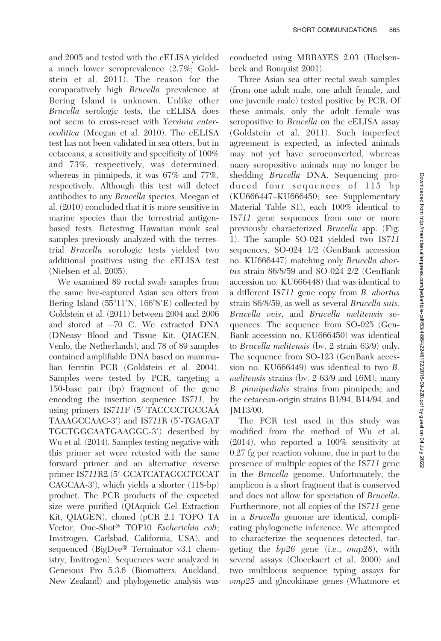and 2005 and tested with the cELISA yielded a much lower seroprevalence (2.7%; Goldstein et al. 2011). The reason for the comparatively high Brucella prevalence at Bering Island is unknown. Unlike other Brucella serologic tests, the cELISA does not seem to cross-react with Yersinia enterocolitica (Meegan et al. 2010). The cELISA test has not been validated in sea otters, but in cetaceans, a sensitivity and specificity of 100% and 73%, respectively, was determined, whereas in pinnipeds, it was 67% and 77%, respectively. Although this test will detect antibodies to any Brucella species, Meegan et al. (2010) concluded that it is more sensitive in marine species than the terrestrial antigenbased tests. Retesting Hawaiian monk seal samples previously analyzed with the terrestrial Brucella serologic tests yielded two additional positives using the cELISA test (Nielsen et al. 2005).

We examined 89 rectal swab samples from the same live-captured Asian sea otters from Bering Island (55°11'N, 166°8'E) collected by Goldstein et al. (2011) between 2004 and 2006 and stored at -70 C. We extracted DNA (DNeasy Blood and Tissue Kit, QIAGEN, Venlo, the Netherlands), and 78 of 89 samples contained amplifiable DNA based on mammalian ferritin PCR (Goldstein et al. 2004). Samples were tested by PCR, targeting a 150-base pair (bp) fragment of the gene encoding the insertion sequence IS711, by using primers IS711F (5'-TACCGCTGCGAA TAAAGCCAAC-3') and IS711R (5'-TGAGAT TGCTGGCAATGAAGGC-3') described by Wu et al. (2014). Samples testing negative with this primer set were retested with the same forward primer and an alternative reverse primer IS711R2 (5′-GCATCATAGGCTGCAT CAGCAA-3'), which yields a shorter (118-bp) product. The PCR products of the expected size were purified (QIAquick Gel Extraction Kit, QIAGEN), cloned (pCR 2.1 TOPO TA Vector, One-Shot<sup>®</sup> TOP10 Escherichia coli; Invitrogen, Carlsbad, California, USA), and sequenced (BigDye<sup>®</sup> Terminator v3.1 chemistry, Invitrogen). Sequences were analyzed in Geneious Pro 5.3.6 (Biomatters, Auckland, New Zealand) and phylogenetic analysis was

conducted using MRBAYES 2.03 (Huelsenbeck and Ronquist 2001).

Three Asian sea otter rectal swab samples (from one adult male, one adult female, and one juvenile male) tested positive by PCR. Of these animals, only the adult female was seropositive to *Brucella* on the cELISA assay (Goldstein et al. 2011). Such imperfect agreement is expected, as infected animals may not yet have seroconverted, whereas many seropositive animals may no longer be shedding Brucella DNA. Sequencing produced four sequences of 115 bp (KU666447–KU666450; see Supplementary Material Table S1), each 100% identical to IS711 gene sequences from one or more previously characterized Brucella spp. (Fig. 1). The sample SO-024 yielded two IS711 sequences, SO-024 1/2 (GenBank accession no. KU666447) matching only Brucella abortus strain 86/8/59 and SO-024 2/2 (GenBank accession no. KU666448) that was identical to a different IS711 gene copy from B. abortus strain 86/8/59, as well as several Brucella suis, Brucella ovis, and Brucella melitensis sequences. The sequence from SO-025 (Gen-Bank accession no. KU666450) was identical to Brucella melitensis (bv. 2 strain 63/9) only. The sequence from SO-123 (GenBank accession no. KU666449) was identical to two B. melitensis strains (bv. 2 63/9 and 16M); many B. pinnipedialis strains from pinnipeds; and the cetacean-origin strains B1/94, B14/94, and JM13/00.

The PCR test used in this study was modified from the method of Wu et al. (2014), who reported a 100% sensitivity at 0.27 fg per reaction volume, due in part to the presence of multiple copies of the IS711 gene in the Brucella genome. Unfortunately, the amplicon is a short fragment that is conserved and does not allow for speciation of Brucella. Furthermore, not all copies of the IS711 gene in a Brucella genome are identical, complicating phylogenetic inference. We attempted to characterize the sequences detected, targeting the bp26 gene (i.e., omp28), with several assays (Cloeckaert et al. 2000) and two multilocus sequence typing assays for omp25 and glucokinase genes (Whatmore et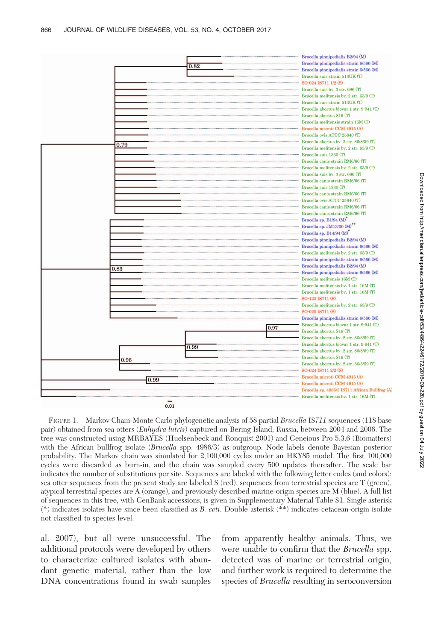

FIGURE 1. Markov Chain-Monte Carlo phylogenetic analysis of 58 partial Brucella IS711 sequences (118 base pair) obtained from sea otters (*Enhydra lutris*) captured on Bering Island, Russia, between 2004 and 2006. The tree was constructed using MRBAYES (Huelsenbeck and Ronquist 2001) and Geneious Pro 5.3.6 (Biomatters) with the African bullfrog isolate (Brucella spp. 4986/3) as outgroup. Node labels denote Bayesian posterior probability. The Markov chain was simulated for 2,100,000 cycles under an HKY85 model. The first 100,000 cycles were discarded as burn-in, and the chain was sampled every 500 updates thereafter. The scale bar indicates the number of substitutions per site. Sequences are labeled with the following letter codes (and colors): sea otter sequences from the present study are labeled S (red), sequences from terrestrial species are T (green), atypical terrestrial species are A (orange), and previously described marine-origin species are M (blue). A full list of sequences in this tree, with GenBank accessions, is given in Supplementary Material Table S1. Single asterisk (\*) indicates isolates have since been classified as B. ceti. Double asterisk (\*\*) indicates cetacean-origin isolate not classified to species level.

al. 2007), but all were unsuccessful. The additional protocols were developed by others to characterize cultured isolates with abundant genetic material, rather than the low DNA concentrations found in swab samples

from apparently healthy animals. Thus, we were unable to confirm that the Brucella spp. detected was of marine or terrestrial origin, and further work is required to determine the species of *Brucella* resulting in seroconversion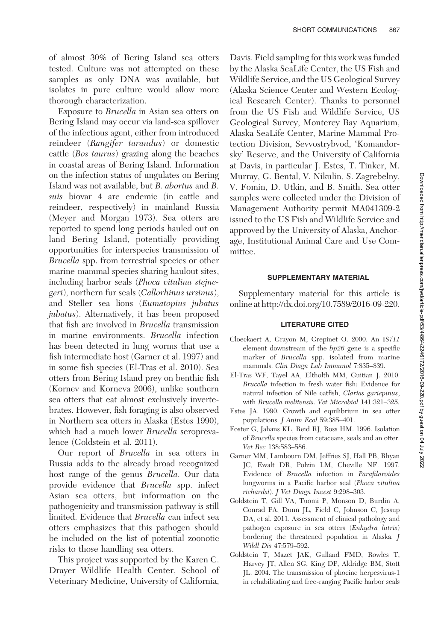of almost 30% of Bering Island sea otters tested. Culture was not attempted on these samples as only DNA was available, but isolates in pure culture would allow more thorough characterization.

Exposure to Brucella in Asian sea otters on Bering Island may occur via land-sea spillover of the infectious agent, either from introduced reindeer (Rangifer tarandus) or domestic cattle (Bos taurus) grazing along the beaches in coastal areas of Bering Island. Information on the infection status of ungulates on Bering Island was not available, but B. abortus and B. suis biovar 4 are endemic (in cattle and reindeer, respectively) in mainland Russia (Meyer and Morgan 1973). Sea otters are reported to spend long periods hauled out on land Bering Island, potentially providing opportunities for interspecies transmission of Brucella spp. from terrestrial species or other marine mammal species sharing haulout sites, including harbor seals (Phoca vitulina stejnegeri), northern fur seals (Callorhinus ursinus), and Steller sea lions (Eumatopius jubatus jubatus). Alternatively, it has been proposed that fish are involved in Brucella transmission in marine environments. Brucella infection has been detected in lung worms that use a fish intermediate host (Garner et al. 1997) and in some fish species (El-Tras et al. 2010). Sea otters from Bering Island prey on benthic fish (Kornev and Korneva 2006), unlike southern sea otters that eat almost exclusively invertebrates. However, fish foraging is also observed in Northern sea otters in Alaska (Estes 1990), which had a much lower *Brucella* seroprevalence (Goldstein et al. 2011).

Our report of Brucella in sea otters in Russia adds to the already broad recognized host range of the genus *Brucella*. Our data provide evidence that Brucella spp. infect Asian sea otters, but information on the pathogenicity and transmission pathway is still limited. Evidence that Brucella can infect sea otters emphasizes that this pathogen should be included on the list of potential zoonotic risks to those handling sea otters.

This project was supported by the Karen C. Drayer Wildlife Health Center, School of Veterinary Medicine, University of California,

Davis. Field sampling for this work was funded by the Alaska SeaLife Center, the US Fish and Wildlife Service, and the US Geological Survey (Alaska Science Center and Western Ecological Research Center). Thanks to personnel from the US Fish and Wildlife Service, US Geological Survey, Monterey Bay Aquarium, Alaska SeaLife Center, Marine Mammal Protection Division, Sevvostrybvod, 'Komandorsky' Reserve, and the University of California at Davis, in particular J. Estes, T. Tinker, M. Murray, G. Bental, V. Nikulin, S. Zagrebelny, V. Fomin, D. Utkin, and B. Smith. Sea otter samples were collected under the Division of Management Authority permit MA041309-2 issued to the US Fish and Wildlife Service and approved by the University of Alaska, Anchorage, Institutional Animal Care and Use Committee.

## SUPPLEMENTARY MATERIAL

Supplementary material for this article is online at http://dx.doi.org/10.7589/2016-09-220.

## LITERATURE CITED

- Cloeckaert A, Grayon M, Grepinet O. 2000. An IS711 element downstream of the bp26 gene is a specific marker of Brucella spp. isolated from marine mammals. Clin Diagn Lab Immunol 7:835–839.
- El-Tras WF, Tayel AA, Eltholth MM, Guitian J. 2010. Brucella infection in fresh water fish: Evidence for natural infection of Nile catfish, Clarias gariepinus, with Brucella melitensis. Vet Microbiol 141:321–325.
- Estes JA. 1990. Growth and equilibrium in sea otter populations. J Anim Ecol 59:385–401.
- Foster G, Jahans KL, Reid RJ, Ross HM. 1996. Isolation of Brucella species from cetaceans, seals and an otter. Vet Rec 138:583–586.
- Garner MM, Lambourn DM, Jeffries SJ, Hall PB, Rhyan JC, Ewalt DR, Polzin LM, Cheville NF. 1997. Evidence of Brucella infection in Parafilaroides lungworms in a Pacific harbor seal (Phoca vitulina richardsi). J Vet Diagn Invest 9:298–303.
- Goldstein T, Gill VA, Tuomi P, Monson D, Burdin A, Conrad PA, Dunn JL, Field C, Johnson C, Jessup DA, et al. 2011. Assessment of clinical pathology and pathogen exposure in sea otters (Enhydra lutris) bordering the threatened population in Alaska. J Wildl Dis 47:579–592.
- Goldstein T, Mazet JAK, Gulland FMD, Rowles T, Harvey JT, Allen SG, King DP, Aldridge BM, Stott JL. 2004. The transmission of phocine herpesvirus-1 in rehabilitating and free-ranging Pacific harbor seals